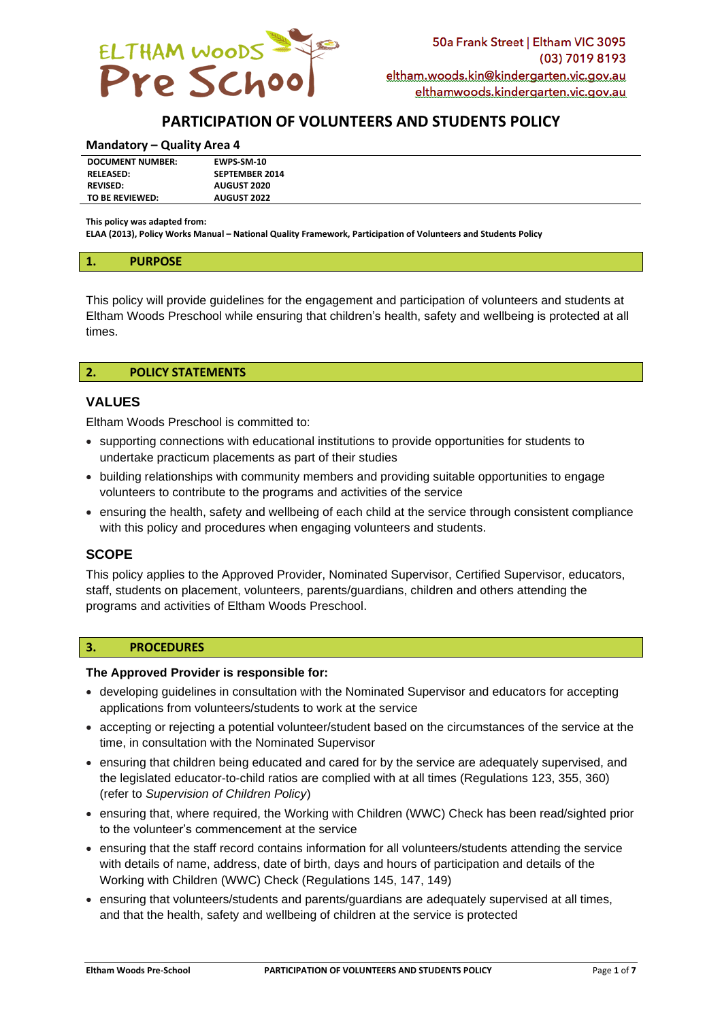

# **PARTICIPATION OF VOLUNTEERS AND STUDENTS POLICY**

#### **Mandatory – Quality Area 4**

| <b>RELEASED:</b> | <b>SEPTEMBER 2014</b> |
|------------------|-----------------------|
|                  |                       |
| <b>REVISED:</b>  | <b>AUGUST 2020</b>    |
| TO BE REVIEWED:  | <b>AUGUST 2022</b>    |

**This policy was adapted from:**

**ELAA (2013), Policy Works Manual – National Quality Framework, Participation of Volunteers and Students Policy**

#### **1. PURPOSE**

This policy will provide guidelines for the engagement and participation of volunteers and students at Eltham Woods Preschool while ensuring that children's health, safety and wellbeing is protected at all times.

#### **2. POLICY STATEMENTS**

# **VALUES**

Eltham Woods Preschool is committed to:

- supporting connections with educational institutions to provide opportunities for students to undertake practicum placements as part of their studies
- building relationships with community members and providing suitable opportunities to engage volunteers to contribute to the programs and activities of the service
- ensuring the health, safety and wellbeing of each child at the service through consistent compliance with this policy and procedures when engaging volunteers and students.

# **SCOPE**

This policy applies to the Approved Provider, Nominated Supervisor, Certified Supervisor, educators, staff, students on placement, volunteers, parents/guardians, children and others attending the programs and activities of Eltham Woods Preschool.

#### **3. PROCEDURES**

#### **The Approved Provider is responsible for:**

- developing guidelines in consultation with the Nominated Supervisor and educators for accepting applications from volunteers/students to work at the service
- accepting or rejecting a potential volunteer/student based on the circumstances of the service at the time, in consultation with the Nominated Supervisor
- ensuring that children being educated and cared for by the service are adequately supervised, and the legislated educator-to-child ratios are complied with at all times (Regulations 123, 355, 360) (refer to *Supervision of Children Policy*)
- ensuring that, where required, the Working with Children (WWC) Check has been read/sighted prior to the volunteer's commencement at the service
- ensuring that the staff record contains information for all volunteers/students attending the service with details of name, address, date of birth, days and hours of participation and details of the Working with Children (WWC) Check (Regulations 145, 147, 149)
- ensuring that volunteers/students and parents/guardians are adequately supervised at all times, and that the health, safety and wellbeing of children at the service is protected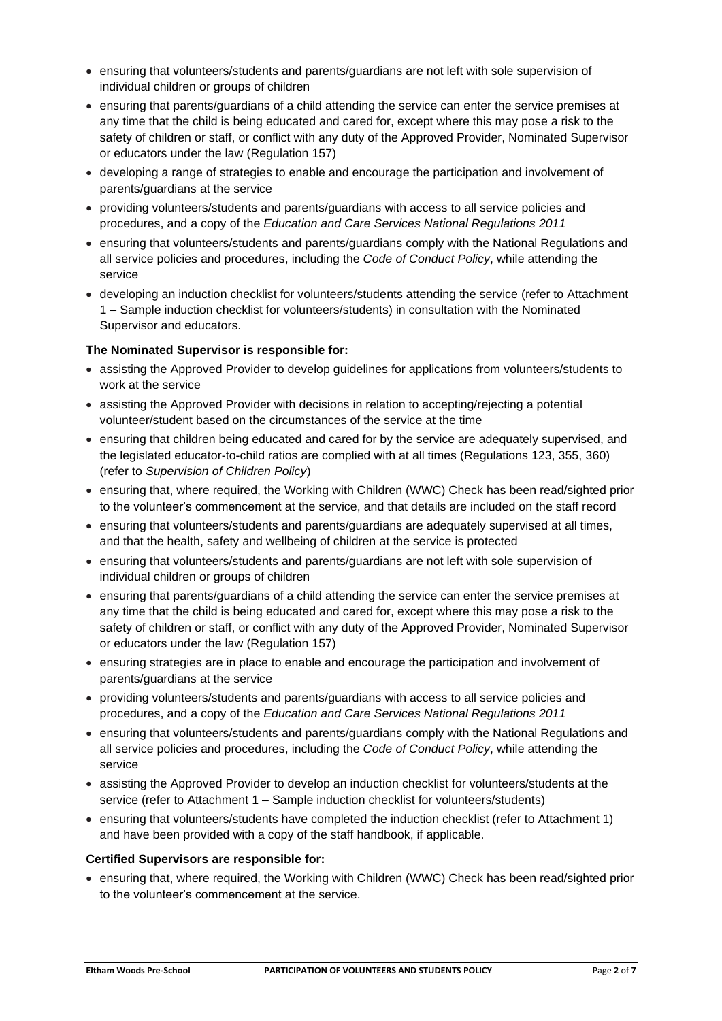- ensuring that volunteers/students and parents/guardians are not left with sole supervision of individual children or groups of children
- ensuring that parents/guardians of a child attending the service can enter the service premises at any time that the child is being educated and cared for, except where this may pose a risk to the safety of children or staff, or conflict with any duty of the Approved Provider, Nominated Supervisor or educators under the law (Regulation 157)
- developing a range of strategies to enable and encourage the participation and involvement of parents/guardians at the service
- providing volunteers/students and parents/guardians with access to all service policies and procedures, and a copy of the *Education and Care Services National Regulations 2011*
- ensuring that volunteers/students and parents/guardians comply with the National Regulations and all service policies and procedures, including the *Code of Conduct Policy*, while attending the service
- developing an induction checklist for volunteers/students attending the service (refer to Attachment 1 – Sample induction checklist for volunteers/students) in consultation with the Nominated Supervisor and educators.

# **The Nominated Supervisor is responsible for:**

- assisting the Approved Provider to develop guidelines for applications from volunteers/students to work at the service
- assisting the Approved Provider with decisions in relation to accepting/rejecting a potential volunteer/student based on the circumstances of the service at the time
- ensuring that children being educated and cared for by the service are adequately supervised, and the legislated educator-to-child ratios are complied with at all times (Regulations 123, 355, 360) (refer to *Supervision of Children Policy*)
- ensuring that, where required, the Working with Children (WWC) Check has been read/sighted prior to the volunteer's commencement at the service, and that details are included on the staff record
- ensuring that volunteers/students and parents/guardians are adequately supervised at all times, and that the health, safety and wellbeing of children at the service is protected
- ensuring that volunteers/students and parents/guardians are not left with sole supervision of individual children or groups of children
- ensuring that parents/guardians of a child attending the service can enter the service premises at any time that the child is being educated and cared for, except where this may pose a risk to the safety of children or staff, or conflict with any duty of the Approved Provider, Nominated Supervisor or educators under the law (Regulation 157)
- ensuring strategies are in place to enable and encourage the participation and involvement of parents/guardians at the service
- providing volunteers/students and parents/guardians with access to all service policies and procedures, and a copy of the *Education and Care Services National Regulations 2011*
- ensuring that volunteers/students and parents/guardians comply with the National Regulations and all service policies and procedures, including the *Code of Conduct Policy*, while attending the service
- assisting the Approved Provider to develop an induction checklist for volunteers/students at the service (refer to Attachment 1 – Sample induction checklist for volunteers/students)
- ensuring that volunteers/students have completed the induction checklist (refer to Attachment 1) and have been provided with a copy of the staff handbook, if applicable.

# **Certified Supervisors are responsible for:**

• ensuring that, where required, the Working with Children (WWC) Check has been read/sighted prior to the volunteer's commencement at the service.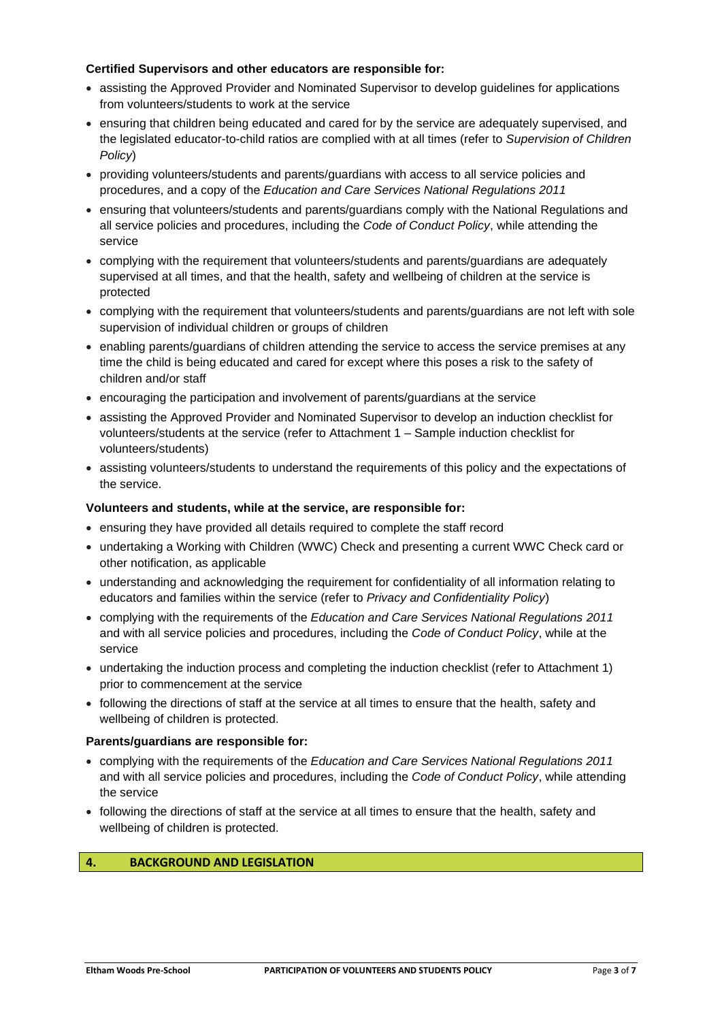# **Certified Supervisors and other educators are responsible for:**

- assisting the Approved Provider and Nominated Supervisor to develop guidelines for applications from volunteers/students to work at the service
- ensuring that children being educated and cared for by the service are adequately supervised, and the legislated educator-to-child ratios are complied with at all times (refer to *Supervision of Children Policy*)
- providing volunteers/students and parents/guardians with access to all service policies and procedures, and a copy of the *Education and Care Services National Regulations 2011*
- ensuring that volunteers/students and parents/guardians comply with the National Regulations and all service policies and procedures, including the *Code of Conduct Policy*, while attending the service
- complying with the requirement that volunteers/students and parents/guardians are adequately supervised at all times, and that the health, safety and wellbeing of children at the service is protected
- complying with the requirement that volunteers/students and parents/guardians are not left with sole supervision of individual children or groups of children
- enabling parents/guardians of children attending the service to access the service premises at any time the child is being educated and cared for except where this poses a risk to the safety of children and/or staff
- encouraging the participation and involvement of parents/guardians at the service
- assisting the Approved Provider and Nominated Supervisor to develop an induction checklist for volunteers/students at the service (refer to Attachment 1 – Sample induction checklist for volunteers/students)
- assisting volunteers/students to understand the requirements of this policy and the expectations of the service.

# **Volunteers and students, while at the service, are responsible for:**

- ensuring they have provided all details required to complete the staff record
- undertaking a Working with Children (WWC) Check and presenting a current WWC Check card or other notification, as applicable
- understanding and acknowledging the requirement for confidentiality of all information relating to educators and families within the service (refer to *Privacy and Confidentiality Policy*)
- complying with the requirements of the *Education and Care Services National Regulations 2011* and with all service policies and procedures, including the *Code of Conduct Policy*, while at the service
- undertaking the induction process and completing the induction checklist (refer to Attachment 1) prior to commencement at the service
- following the directions of staff at the service at all times to ensure that the health, safety and wellbeing of children is protected.

# **Parents/guardians are responsible for:**

- complying with the requirements of the *Education and Care Services National Regulations 2011* and with all service policies and procedures, including the *Code of Conduct Policy*, while attending the service
- following the directions of staff at the service at all times to ensure that the health, safety and wellbeing of children is protected.

# **4. BACKGROUND AND LEGISLATION**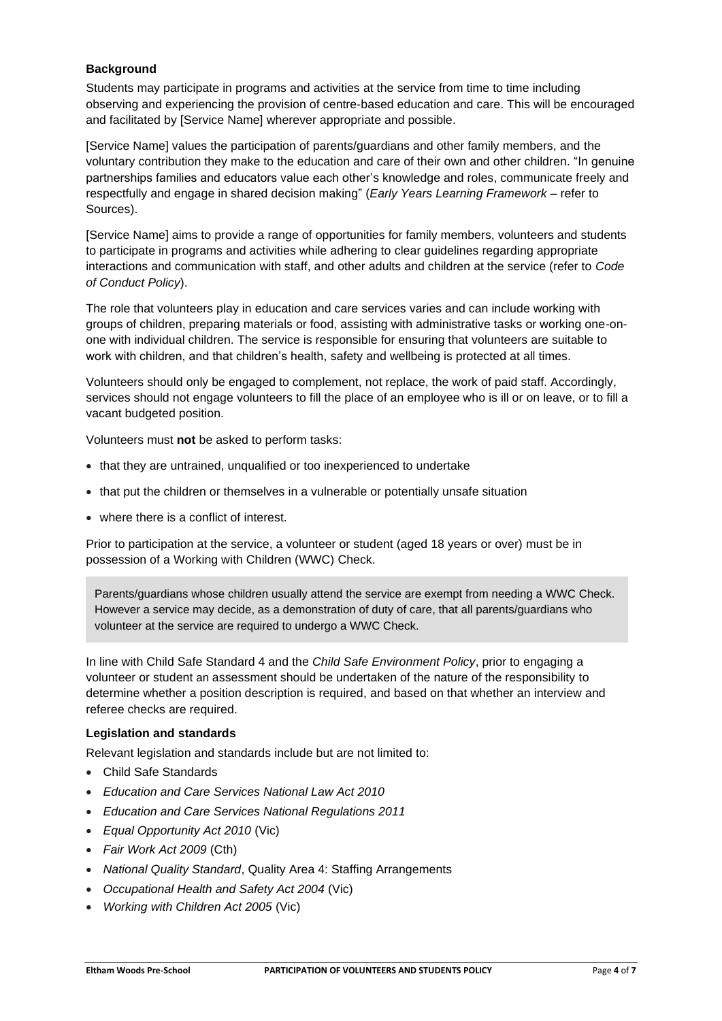# **Background**

Students may participate in programs and activities at the service from time to time including observing and experiencing the provision of centre-based education and care. This will be encouraged and facilitated by [Service Name] wherever appropriate and possible.

[Service Name] values the participation of parents/guardians and other family members, and the voluntary contribution they make to the education and care of their own and other children. "In genuine partnerships families and educators value each other's knowledge and roles, communicate freely and respectfully and engage in shared decision making" (*Early Years Learning Framework –* refer to Sources).

[Service Name] aims to provide a range of opportunities for family members, volunteers and students to participate in programs and activities while adhering to clear guidelines regarding appropriate interactions and communication with staff, and other adults and children at the service (refer to *Code of Conduct Policy*).

The role that volunteers play in education and care services varies and can include working with groups of children, preparing materials or food, assisting with administrative tasks or working one-onone with individual children. The service is responsible for ensuring that volunteers are suitable to work with children, and that children's health, safety and wellbeing is protected at all times.

Volunteers should only be engaged to complement, not replace, the work of paid staff. Accordingly, services should not engage volunteers to fill the place of an employee who is ill or on leave, or to fill a vacant budgeted position.

Volunteers must **not** be asked to perform tasks:

- that they are untrained, unqualified or too inexperienced to undertake
- that put the children or themselves in a vulnerable or potentially unsafe situation
- where there is a conflict of interest.

Prior to participation at the service, a volunteer or student (aged 18 years or over) must be in possession of a Working with Children (WWC) Check.

Parents/guardians whose children usually attend the service are exempt from needing a WWC Check. However a service may decide, as a demonstration of duty of care, that all parents/guardians who volunteer at the service are required to undergo a WWC Check.

In line with Child Safe Standard 4 and the *Child Safe Environment Policy*, prior to engaging a volunteer or student an assessment should be undertaken of the nature of the responsibility to determine whether a position description is required, and based on that whether an interview and referee checks are required.

# **Legislation and standards**

Relevant legislation and standards include but are not limited to:

- Child Safe Standards
- *Education and Care Services National Law Act 2010*
- *Education and Care Services National Regulations 2011*
- *Equal Opportunity Act 2010* (Vic)
- *Fair Work Act 2009* (Cth)
- *National Quality Standard*, Quality Area 4: Staffing Arrangements
- *Occupational Health and Safety Act 2004* (Vic)
- *Working with Children Act 2005* (Vic)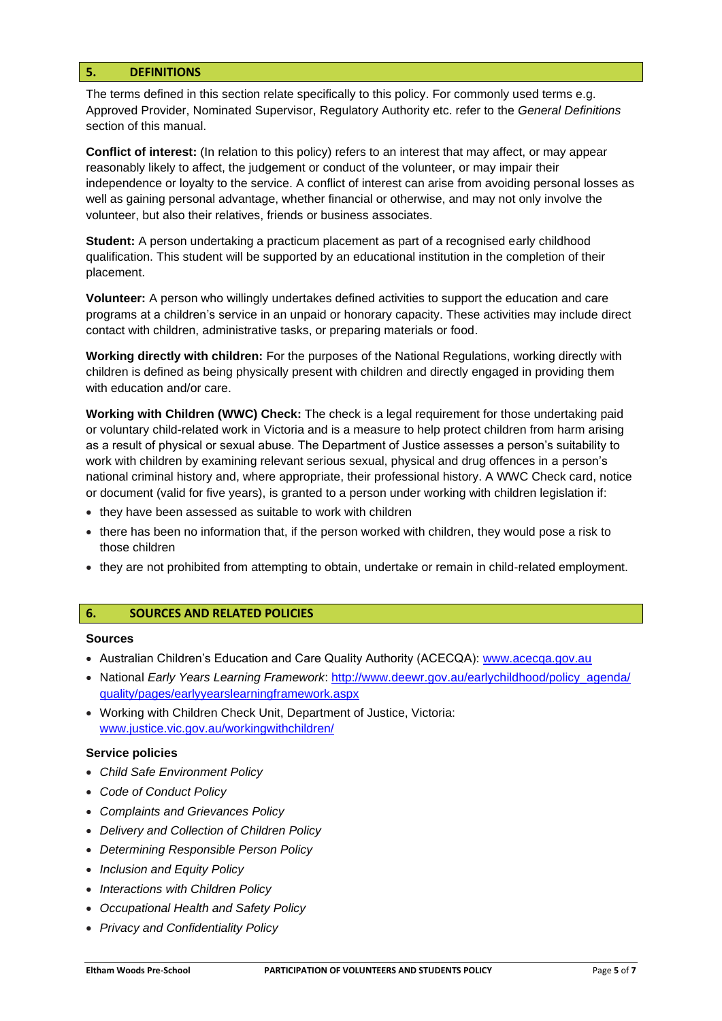#### **5. DEFINITIONS**

The terms defined in this section relate specifically to this policy. For commonly used terms e.g. Approved Provider, Nominated Supervisor, Regulatory Authority etc. refer to the *General Definitions* section of this manual.

**Conflict of interest:** (In relation to this policy) refers to an interest that may affect, or may appear reasonably likely to affect, the judgement or conduct of the volunteer, or may impair their independence or loyalty to the service. A conflict of interest can arise from avoiding personal losses as well as gaining personal advantage, whether financial or otherwise, and may not only involve the volunteer, but also their relatives, friends or business associates.

**Student:** A person undertaking a practicum placement as part of a recognised early childhood qualification. This student will be supported by an educational institution in the completion of their placement.

**Volunteer:** A person who willingly undertakes defined activities to support the education and care programs at a children's service in an unpaid or honorary capacity. These activities may include direct contact with children, administrative tasks, or preparing materials or food.

**Working directly with children:** For the purposes of the National Regulations, working directly with children is defined as being physically present with children and directly engaged in providing them with education and/or care.

**Working with Children (WWC) Check:** The check is a legal requirement for those undertaking paid or voluntary child-related work in Victoria and is a measure to help protect children from harm arising as a result of physical or sexual abuse. The Department of Justice assesses a person's suitability to work with children by examining relevant serious sexual, physical and drug offences in a person's national criminal history and, where appropriate, their professional history. A WWC Check card, notice or document (valid for five years), is granted to a person under working with children legislation if:

- they have been assessed as suitable to work with children
- there has been no information that, if the person worked with children, they would pose a risk to those children
- they are not prohibited from attempting to obtain, undertake or remain in child-related employment.

#### **6. SOURCES AND RELATED POLICIES**

#### **Sources**

- Australian Children's Education and Care Quality Authority (ACECQA): www.acecqa.gov.au
- National *Early Years Learning Framework*: [http://www.deewr.gov.au/earlychildhood/policy\\_agenda/](http://www.deewr.gov.au/earlychildhood/policy_agenda/quality/pages/earlyyearslearningframework.aspx) [quality/pages/earlyyearslearningframework.aspx](http://www.deewr.gov.au/earlychildhood/policy_agenda/quality/pages/earlyyearslearningframework.aspx)
- Working with Children Check Unit, Department of Justice, Victoria: [www.justice.vic.gov.au/workingwithchildren/](http://www.justice.vic.gov.au/workingwithchildren/)

#### **Service policies**

- *Child Safe Environment Policy*
- *Code of Conduct Policy*
- *Complaints and Grievances Policy*
- *Delivery and Collection of Children Policy*
- *Determining Responsible Person Policy*
- *Inclusion and Equity Policy*
- *Interactions with Children Policy*
- *Occupational Health and Safety Policy*
- *Privacy and Confidentiality Policy*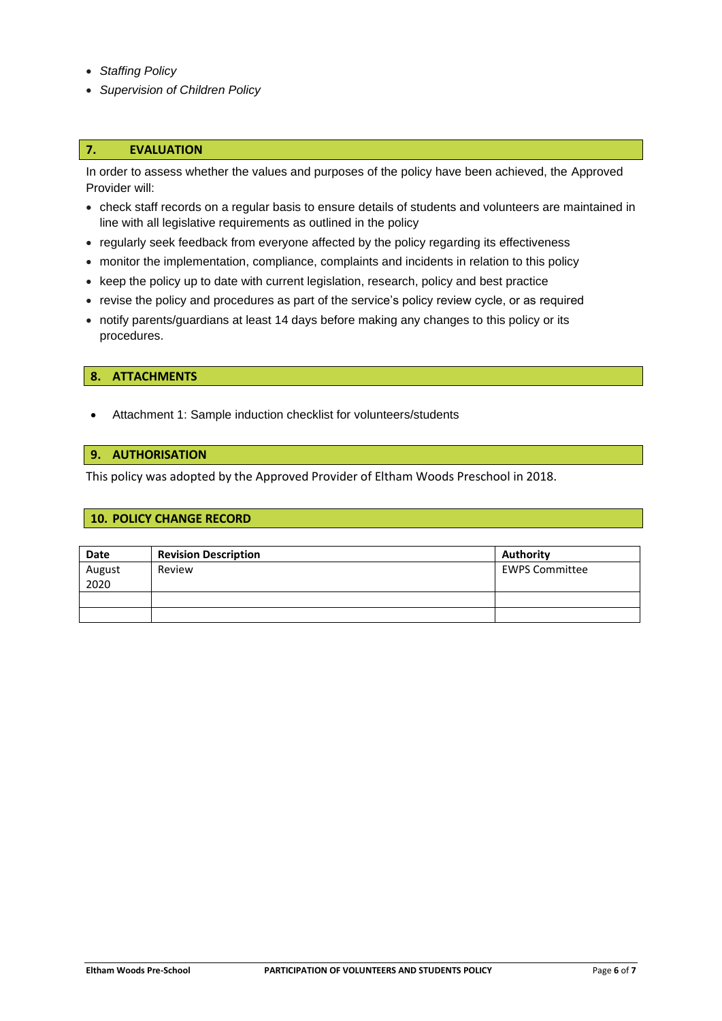- *Staffing Policy*
- *Supervision of Children Policy*

#### **7. EVALUATION**

In order to assess whether the values and purposes of the policy have been achieved, the Approved Provider will:

- check staff records on a regular basis to ensure details of students and volunteers are maintained in line with all legislative requirements as outlined in the policy
- regularly seek feedback from everyone affected by the policy regarding its effectiveness
- monitor the implementation, compliance, complaints and incidents in relation to this policy
- keep the policy up to date with current legislation, research, policy and best practice
- revise the policy and procedures as part of the service's policy review cycle, or as required
- notify parents/guardians at least 14 days before making any changes to this policy or its procedures.

#### **8. ATTACHMENTS**

• Attachment 1: Sample induction checklist for volunteers/students

# **9. AUTHORISATION**

This policy was adopted by the Approved Provider of Eltham Woods Preschool in 2018.

#### **10. POLICY CHANGE RECORD**

| Date           | <b>Revision Description</b> | <b>Authority</b>      |
|----------------|-----------------------------|-----------------------|
| August<br>2020 | Review                      | <b>EWPS Committee</b> |
|                |                             |                       |
|                |                             |                       |